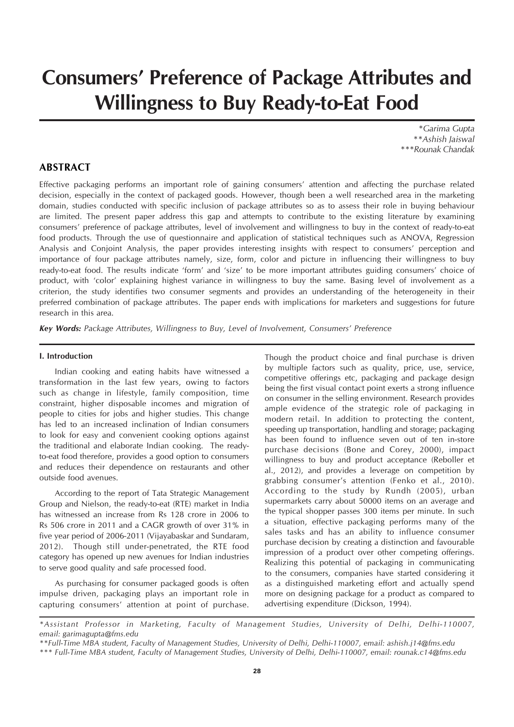# **Consumers' Preference of Package Attributes and Willingness to Buy Ready-to-Eat Food**

*\*Garima Gupta \*\*Ashish Jaiswal \*\*\*Rounak Chandak*

# **ABSTRACT**

Effective packaging performs an important role of gaining consumers' attention and affecting the purchase related decision, especially in the context of packaged goods. However, though been a well researched area in the marketing domain, studies conducted with specific inclusion of package attributes so as to assess their role in buying behaviour are limited. The present paper address this gap and attempts to contribute to the existing literature by examining consumers' preference of package attributes, level of involvement and willingness to buy in the context of ready-to-eat food products. Through the use of questionnaire and application of statistical techniques such as ANOVA, Regression Analysis and Conjoint Analysis, the paper provides interesting insights with respect to consumers' perception and importance of four package attributes namely, size, form, color and picture in influencing their willingness to buy ready-to-eat food. The results indicate 'form' and 'size' to be more important attributes guiding consumers' choice of product, with 'color' explaining highest variance in willingness to buy the same. Basing level of involvement as a criterion, the study identifies two consumer segments and provides an understanding of the heterogeneity in their preferred combination of package attributes. The paper ends with implications for marketers and suggestions for future research in this area.

*Key Words: Package Attributes, Willingness to Buy, Level of Involvement, Consumers' Preference*

#### **I. Introduction**

Indian cooking and eating habits have witnessed a transformation in the last few years, owing to factors such as change in lifestyle, family composition, time constraint, higher disposable incomes and migration of people to cities for jobs and higher studies. This change has led to an increased inclination of Indian consumers to look for easy and convenient cooking options against the traditional and elaborate Indian cooking. The readyto-eat food therefore, provides a good option to consumers and reduces their dependence on restaurants and other outside food avenues.

According to the report of Tata Strategic Management Group and Nielson, the ready-to-eat (RTE) market in India has witnessed an increase from Rs 128 crore in 2006 to Rs 506 crore in 2011 and a CAGR growth of over 31% in five year period of 2006-2011 (Vijayabaskar and Sundaram, 2012). Though still under-penetrated, the RTE food category has opened up new avenues for Indian industries to serve good quality and safe processed food.

As purchasing for consumer packaged goods is often impulse driven, packaging plays an important role in capturing consumers' attention at point of purchase.

Though the product choice and final purchase is driven by multiple factors such as quality, price, use, service, competitive offerings etc, packaging and package design being the first visual contact point exerts a strong influence on consumer in the selling environment. Research provides ample evidence of the strategic role of packaging in modern retail. In addition to protecting the content, speeding up transportation, handling and storage; packaging has been found to influence seven out of ten in-store purchase decisions (Bone and Corey, 2000), impact willingness to buy and product acceptance (Reboller et al., 2012), and provides a leverage on competition by grabbing consumer's attention (Fenko et al., 2010). According to the study by Rundh (2005), urban supermarkets carry about 50000 items on an average and the typical shopper passes 300 items per minute. In such a situation, effective packaging performs many of the sales tasks and has an ability to influence consumer purchase decision by creating a distinction and favourable impression of a product over other competing offerings. Realizing this potential of packaging in communicating to the consumers, companies have started considering it as a distinguished marketing effort and actually spend more on designing package for a product as compared to advertising expenditure (Dickson, 1994).

*<sup>\*</sup>Assistant Professor in Marketing, Faculty of Management Studies, University of Delhi, Delhi-110007, email: garimagupta@fms.edu*

*<sup>\*\*</sup>Full-Time MBA student, Faculty of Management Studies, University of Delhi, Delhi-110007, email: ashish.j14@fms.edu*

*<sup>\*\*\*</sup> Full-Time MBA student, Faculty of Management Studies, University of Delhi, Delhi-110007, email: rounak.c14@fms.edu*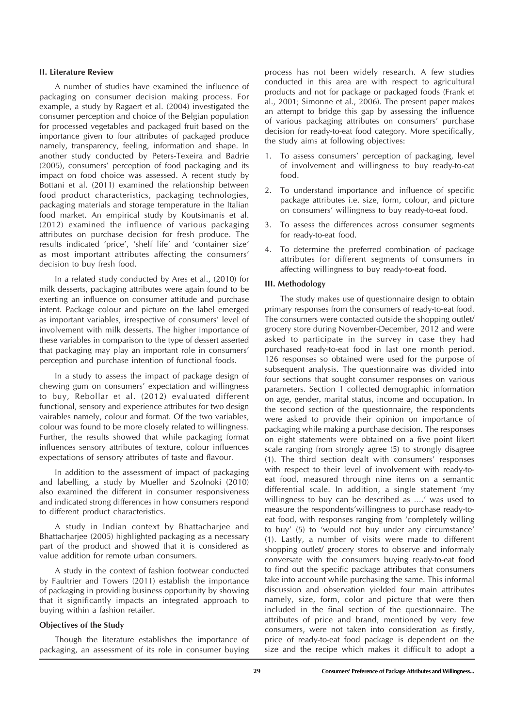#### **II. Literature Review**

A number of studies have examined the influence of packaging on consumer decision making process. For example, a study by Ragaert et al. (2004) investigated the consumer perception and choice of the Belgian population for processed vegetables and packaged fruit based on the importance given to four attributes of packaged produce namely, transparency, feeling, information and shape. In another study conducted by Peters-Texeira and Badrie (2005), consumers' perception of food packaging and its impact on food choice was assessed. A recent study by Bottani et al. (2011) examined the relationship between food product characteristics, packaging technologies, packaging materials and storage temperature in the Italian food market. An empirical study by Koutsimanis et al. (2012) examined the influence of various packaging attributes on purchase decision for fresh produce. The results indicated 'price', 'shelf life' and 'container size' as most important attributes affecting the consumers' decision to buy fresh food.

In a related study conducted by Ares et al., (2010) for milk desserts, packaging attributes were again found to be exerting an influence on consumer attitude and purchase intent. Package colour and picture on the label emerged as important variables, irrespective of consumers' level of involvement with milk desserts. The higher importance of these variables in comparison to the type of dessert asserted that packaging may play an important role in consumers' perception and purchase intention of functional foods.

In a study to assess the impact of package design of chewing gum on consumers' expectation and willingness to buy, Rebollar et al. (2012) evaluated different functional, sensory and experience attributes for two design vairables namely, colour and format. Of the two variables, colour was found to be more closely related to willingness. Further, the results showed that while packaging format influences sensory attributes of texture, colour influences expectations of sensory attributes of taste and flavour.

In addition to the assessment of impact of packaging and labelling, a study by Mueller and Szolnoki (2010) also examined the different in consumer responsiveness and indicated strong differences in how consumers respond to different product characteristics.

A study in Indian context by Bhattacharjee and Bhattacharjee (2005) highlighted packaging as a necessary part of the product and showed that it is considered as value addition for remote urban consumers.

A study in the context of fashion footwear conducted by Faultrier and Towers (2011) establish the importance of packaging in providing business opportunity by showing that it significantly impacts an integrated approach to buying within a fashion retailer.

#### **Objectives of the Study**

Though the literature establishes the importance of packaging, an assessment of its role in consumer buying

process has not been widely research. A few studies conducted in this area are with respect to agricultural products and not for package or packaged foods (Frank et al., 2001; Simonne et al., 2006). The present paper makes an attempt to bridge this gap by assessing the influence of various packaging attributes on consumers' purchase decision for ready-to-eat food category. More specifically, the study aims at following objectives:

- 1. To assess consumers' perception of packaging, level of involvement and willingness to buy ready-to-eat food.
- 2. To understand importance and influence of specific package attributes i.e. size, form, colour, and picture on consumers' willingness to buy ready-to-eat food.
- 3. To assess the differences across consumer segments for ready-to-eat food.
- 4. To determine the preferred combination of package attributes for different segments of consumers in affecting willingness to buy ready-to-eat food.

#### **III. Methodology**

The study makes use of questionnaire design to obtain primary responses from the consumers of ready-to-eat food. The consumers were contacted outside the shopping outlet/ grocery store during November-December, 2012 and were asked to participate in the survey in case they had purchased ready-to-eat food in last one month period. 126 responses so obtained were used for the purpose of subsequent analysis. The questionnaire was divided into four sections that sought consumer responses on various parameters. Section 1 collected demographic information on age, gender, marital status, income and occupation. In the second section of the questionnaire, the respondents were asked to provide their opinion on importance of packaging while making a purchase decision. The responses on eight statements were obtained on a five point likert scale ranging from strongly agree (5) to strongly disagree (1). The third section dealt with consumers' responses with respect to their level of involvement with ready-toeat food, measured through nine items on a semantic differential scale. In addition, a single statement 'my willingness to buy can be described as ….' was used to measure the respondents'willingness to purchase ready-toeat food, with responses ranging from 'completely willing to buy' (5) to 'would not buy under any circumstance' (1). Lastly, a number of visits were made to different shopping outlet/ grocery stores to observe and informaly conversate with the consumers buying ready-to-eat food to find out the specific package attributes that consumers take into account while purchasing the same. This informal discussion and observation yielded four main attributes namely, size, form, color and picture that were then included in the final section of the questionnaire. The attributes of price and brand, mentioned by very few consumers, were not taken into consideration as firstly, price of ready-to-eat food package is dependent on the size and the recipe which makes it difficult to adopt a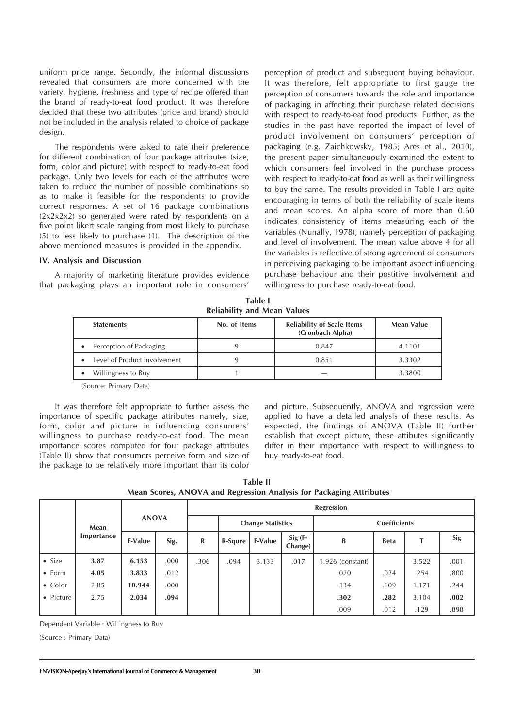uniform price range. Secondly, the informal discussions revealed that consumers are more concerned with the variety, hygiene, freshness and type of recipe offered than the brand of ready-to-eat food product. It was therefore decided that these two attributes (price and brand) should not be included in the analysis related to choice of package design.

The respondents were asked to rate their preference for different combination of four package attributes (size, form, color and picture) with respect to ready-to-eat food package. Only two levels for each of the attributes were taken to reduce the number of possible combinations so as to make it feasible for the respondents to provide correct responses. A set of 16 package combinations (2x2x2x2) so generated were rated by respondents on a five point likert scale ranging from most likely to purchase (5) to less likely to purchase (1). The description of the above mentioned measures is provided in the appendix.

#### **IV. Analysis and Discussion**

A majority of marketing literature provides evidence that packaging plays an important role in consumers'

perception of product and subsequent buying behaviour. It was therefore, felt appropriate to first gauge the perception of consumers towards the role and importance of packaging in affecting their purchase related decisions with respect to ready-to-eat food products. Further, as the studies in the past have reported the impact of level of product involvement on consumers' perception of packaging (e.g. Zaichkowsky, 1985; Ares et al., 2010), the present paper simultaneuouly examined the extent to which consumers feel involved in the purchase process with respect to ready-to-eat food as well as their willingness to buy the same. The results provided in Table I are quite encouraging in terms of both the reliability of scale items and mean scores. An alpha score of more than 0.60 indicates consistency of items measuring each of the variables (Nunally, 1978), namely perception of packaging and level of involvement. The mean value above 4 for all the variables is reflective of strong agreement of consumers in perceiving packaging to be important aspect influencing purchase behaviour and their postitive involvement and willingness to purchase ready-to-eat food.

**Table I Reliability and Mean Values**

| <b>Statements</b>            | No. of Items | <b>Reliability of Scale Items</b><br>(Cronbach Alpha) | Mean Value |
|------------------------------|--------------|-------------------------------------------------------|------------|
| Perception of Packaging<br>٠ |              | 0.847                                                 | 4.1101     |
| Level of Product Involvement |              | 0.851                                                 | 3.3302     |
| Willingness to Buy           |              |                                                       | 3.3800     |

(Source: Primary Data)

It was therefore felt appropriate to further assess the importance of specific package attributes namely, size, form, color and picture in influencing consumers' willingness to purchase ready-to-eat food. The mean importance scores computed for four package attributes (Table II) show that consumers perceive form and size of the package to be relatively more important than its color and picture. Subsequently, ANOVA and regression were applied to have a detailed analysis of these results. As expected, the findings of ANOVA (Table II) further establish that except picture, these attibutes significantly differ in their importance with respect to willingness to buy ready-to-eat food.

| Table II                                                            |
|---------------------------------------------------------------------|
| Mean Scores, ANOVA and Regression Analysis for Packaging Attributes |

|                 |            | <b>ANOVA</b>   |      | Regression               |         |                     |                      |                  |             |       |      |  |
|-----------------|------------|----------------|------|--------------------------|---------|---------------------|----------------------|------------------|-------------|-------|------|--|
|                 | Mean       |                |      | <b>Change Statistics</b> |         | <b>Coefficients</b> |                      |                  |             |       |      |  |
|                 | Importance | <b>F-Value</b> | Sig. | R                        | R-Squre | <b>F-Value</b>      | $Sig$ (F-<br>Change) | B                | <b>Beta</b> | т     | Sig  |  |
| $\bullet$ Size  | 3.87       | 6.153          | .000 | .306                     | .094    | 3.133               | .017                 | 1.926 (constant) |             | 3.522 | .001 |  |
| $\bullet$ Form  | 4.05       | 3.833          | .012 |                          |         |                     |                      | .020             | .024        | .254  | .800 |  |
| $\bullet$ Color | 2.85       | 10.944         | .000 |                          |         |                     |                      | .134             | .109        | 1.171 | .244 |  |
| • Picture       | 2.75       | 2.034          | .094 |                          |         |                     |                      | .302             | .282        | 3.104 | .002 |  |
|                 |            |                |      |                          |         |                     |                      | .009             | .012        | .129  | .898 |  |

Dependent Variable : Willingness to Buy

(Source : Primary Data)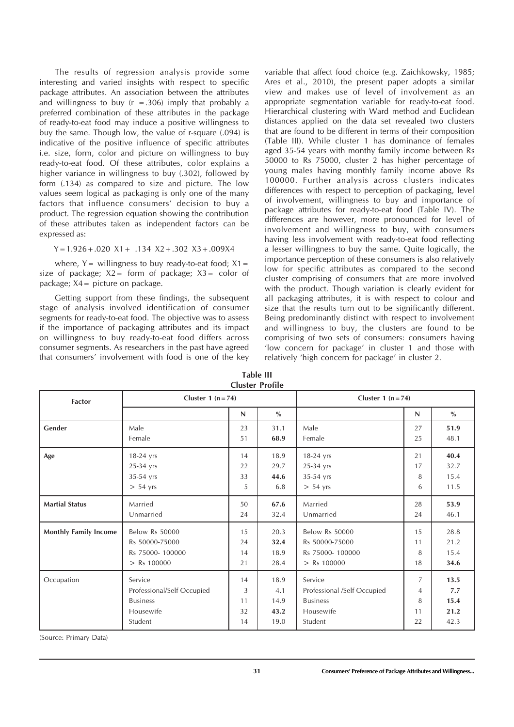The results of regression analysis provide some interesting and varied insights with respect to specific package attributes. An association between the attributes and willingness to buy  $(r = .306)$  imply that probably a preferred combination of these attributes in the package of ready-to-eat food may induce a positive willingness to buy the same. Though low, the value of r-square (.094) is indicative of the positive influence of specific attributes i.e. size, form, color and picture on willingness to buy ready-to-eat food. Of these attributes, color explains a higher variance in willingness to buy (.302), followed by form (.134) as compared to size and picture. The low values seem logical as packaging is only one of the many factors that influence consumers' decision to buy a product. The regression equation showing the contribution of these attributes taken as independent factors can be expressed as:

#### Y=1.926+.020 X1+ .134 X2+.302 X3+.009X4

where,  $Y=$  willingness to buy ready-to-eat food:  $X1=$ size of package;  $X2=$  form of package;  $X3=$  color of package; X4= picture on package.

Getting support from these findings, the subsequent stage of analysis involved identification of consumer segments for ready-to-eat food. The objective was to assess if the importance of packaging attributes and its impact on willingness to buy ready-to-eat food differs across consumer segments. As researchers in the past have agreed that consumers' involvement with food is one of the key variable that affect food choice (e.g. Zaichkowsky, 1985; Ares et al., 2010), the present paper adopts a similar view and makes use of level of involvement as an appropriate segmentation variable for ready-to-eat food. Hierarchical clustering with Ward method and Euclidean distances applied on the data set revealed two clusters that are found to be different in terms of their composition (Table III). While cluster 1 has dominance of females aged 35-54 years with monthy family income between Rs 50000 to Rs 75000, cluster 2 has higher percentage of young males having monthly family income above Rs 100000. Further analysis across clusters indicates differences with respect to perception of packaging, level of involvement, willingness to buy and importance of package attributes for ready-to-eat food (Table IV). The differences are however, more pronounced for level of involvement and willingness to buy, with consumers having less involvement with ready-to-eat food reflecting a lesser willingness to buy the same. Quite logically, the importance perception of these consumers is also relatively low for specific attributes as compared to the second cluster comprising of consumers that are more involved with the product. Though variation is clearly evident for all packaging attributes, it is with respect to colour and size that the results turn out to be significantly different. Being predominantly distinct with respect to involvement and willingness to buy, the clusters are found to be comprising of two sets of consumers: consumers having 'low concern for package' in cluster 1 and those with relatively 'high concern for package' in cluster 2.

| <b>Factor</b>                | Cluster 1 $(n=74)$         | CIUSICI I IVIIIC | Cluster 1 $(n=74)$ |                             |    |               |
|------------------------------|----------------------------|------------------|--------------------|-----------------------------|----|---------------|
|                              |                            | N                | $\%$               |                             | N  | $\frac{0}{0}$ |
| Gender                       | Male                       | 23               | 31.1               | Male                        | 27 | 51.9          |
|                              | Female                     | 51               | 68.9               | Female                      | 25 | 48.1          |
| Age                          | $18-24$ yrs                | 14               | 18.9               | $18-24$ yrs                 | 21 | 40.4          |
|                              | 25-34 yrs                  | 22               | 29.7               | 25-34 yrs                   | 17 | 32.7          |
|                              | 35-54 yrs                  | 33               | 44.6               | 35-54 yrs                   | 8  | 15.4          |
|                              | $> 54$ yrs                 | 5                | 6.8                | $> 54$ yrs                  | 6  | 11.5          |
| <b>Martial Status</b>        | Married                    | 50               | 67.6               | Married                     | 28 | 53.9          |
|                              | Unmarried                  | 24               | 32.4               | Unmarried                   | 24 | 46.1          |
| <b>Monthly Family Income</b> | <b>Below Rs 50000</b>      | 15               | 20.3               | <b>Below Rs 50000</b>       | 15 | 28.8          |
|                              | Rs 50000-75000             | 24               | 32.4               | Rs 50000-75000              | 11 | 21.2          |
|                              | Rs 75000-100000            | 14               | 18.9               | Rs 75000-100000             | 8  | 15.4          |
|                              | $>$ Rs 100000              | 21               | 28.4               | $>$ Rs 100000               | 18 | 34.6          |
| Occupation                   | Service                    | 14               | 18.9               | Service                     | 7  | 13.5          |
|                              | Professional/Self Occupied | 3                | 4.1                | Professional /Self Occupied | 4  | 7.7           |
|                              | <b>Business</b>            | 11               | 14.9               | <b>Business</b>             | 8  | 15.4          |
|                              | Housewife                  | 32               | 43.2               | Housewife                   | 11 | 21.2          |
|                              | Student                    | 14               | 19.0               | Student                     | 22 | 42.3          |

**Table III Cluster Profile**

(Source: Primary Data)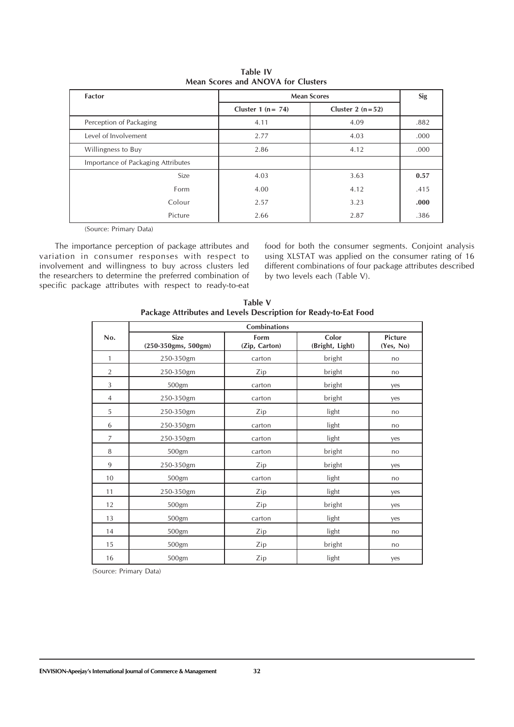| <b>Factor</b>                      | <b>Mean Scores</b>   | Sig                |      |
|------------------------------------|----------------------|--------------------|------|
|                                    | Cluster 1 $(n = 74)$ | Cluster 2 $(n=52)$ |      |
| Perception of Packaging            | 4.11                 | 4.09               | .882 |
| Level of Involvement               | 2.77                 | 4.03               | .000 |
| Willingness to Buy                 | 2.86                 | 4.12               | .000 |
| Importance of Packaging Attributes |                      |                    |      |
| Size                               | 4.03                 | 3.63               | 0.57 |
| Form                               | 4.00                 | 4.12               | .415 |
| Colour                             | 2.57                 | 3.23               | .000 |
| Picture                            | 2.66                 | 2.87               | .386 |

**Table IV Mean Scores and ANOVA for Clusters**

(Source: Primary Data)

The importance perception of package attributes and variation in consumer responses with respect to involvement and willingness to buy across clusters led the researchers to determine the preferred combination of specific package attributes with respect to ready-to-eat food for both the consumer segments. Conjoint analysis using XLSTAT was applied on the consumer rating of 16 different combinations of four package attributes described by two levels each (Table V).

|                | <b>Combinations</b>                |                       |                          |                      |  |  |  |  |  |
|----------------|------------------------------------|-----------------------|--------------------------|----------------------|--|--|--|--|--|
| No.            | <b>Size</b><br>(250-350gms, 500gm) | Form<br>(Zip, Carton) | Color<br>(Bright, Light) | Picture<br>(Yes, No) |  |  |  |  |  |
| $\mathbf{1}$   | 250-350gm                          | carton                | bright                   | no                   |  |  |  |  |  |
| $\overline{2}$ | 250-350gm                          | Zip                   | bright                   | no                   |  |  |  |  |  |
| 3              | 500gm                              | carton                | bright                   | yes                  |  |  |  |  |  |
| $\overline{4}$ | 250-350gm                          | carton                | bright                   | yes                  |  |  |  |  |  |
| 5              | 250-350gm                          | Zip                   | light                    | no                   |  |  |  |  |  |
| 6              | 250-350gm                          | carton                | light                    | no                   |  |  |  |  |  |
| $\overline{7}$ | 250-350gm                          | carton                | light                    | yes                  |  |  |  |  |  |
| 8              | 500gm                              | carton                | bright                   | no                   |  |  |  |  |  |
| 9              | 250-350gm                          | Zip                   | bright                   | yes                  |  |  |  |  |  |
| 10             | 500gm                              | carton                | light                    | no                   |  |  |  |  |  |
| 11             | 250-350gm                          | Zip                   | light                    | yes                  |  |  |  |  |  |
| 12             | 500gm                              | Zip                   | bright                   | yes                  |  |  |  |  |  |
| 13             | 500gm                              | carton                | light                    | yes                  |  |  |  |  |  |
| 14             | 500gm                              | Zip                   | light                    | no                   |  |  |  |  |  |
| 15             | 500gm                              | Zip                   | bright                   | no                   |  |  |  |  |  |
| 16             | 500gm                              | Zip                   | light                    | yes                  |  |  |  |  |  |

**Table V Package Attributes and Levels Description for Ready-to-Eat Food**

(Source: Primary Data)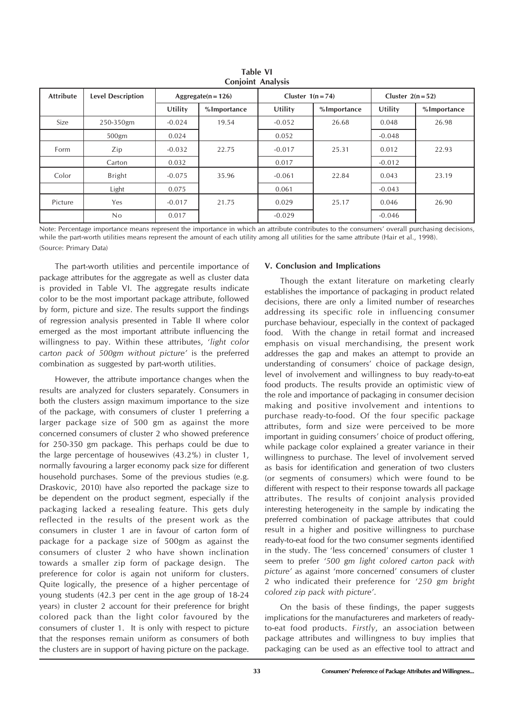| <b>Attribute</b> | <b>Level Description</b> | Aggregate( $n = 126$ ) |             | Cluster $1(n=74)$ |             | Cluster $2(n=52)$ |             |
|------------------|--------------------------|------------------------|-------------|-------------------|-------------|-------------------|-------------|
|                  |                          | Utility                | %Importance | Utility           | %Importance | Utility           | %Importance |
| Size             | 250-350gm                | $-0.024$               | 19.54       | $-0.052$          | 26.68       | 0.048             | 26.98       |
|                  | 500gm                    | 0.024                  |             | 0.052             |             | $-0.048$          |             |
| Form             | Zip                      | $-0.032$               | 22.75       | $-0.017$          | 25.31       | 0.012             | 22.93       |
|                  | Carton                   | 0.032                  |             | 0.017             |             | $-0.012$          |             |
| Color            | <b>Bright</b>            | $-0.075$               | 35.96       | $-0.061$          | 22.84       | 0.043             | 23.19       |
|                  | Light                    | 0.075                  |             | 0.061             |             | $-0.043$          |             |
| Picture          | Yes                      | $-0.017$               | 21.75       | 0.029             | 25.17       | 0.046             | 26.90       |
|                  | No                       | 0.017                  |             | $-0.029$          |             | $-0.046$          |             |

**Table VI Conjoint Analysis**

Note: Percentage importance means represent the importance in which an attribute contributes to the consumers' overall purchasing decisions, while the part-worth utilities means represent the amount of each utility among all utilities for the same attribute (Hair et al., 1998). (Source: Primary Data)

The part-worth utilities and percentile importance of package attributes for the aggregate as well as cluster data is provided in Table VI. The aggregate results indicate color to be the most important package attribute, followed by form, picture and size. The results support the findings of regression analysis presented in Table II where color emerged as the most important attribute influencing the willingness to pay. Within these attributes, '*light color carton pack of 500gm without picture'* is the preferred combination as suggested by part-worth utilities.

However, the attribute importance changes when the results are analyzed for clusters separately. Consumers in both the clusters assign maximum importance to the size of the package, with consumers of cluster 1 preferring a larger package size of 500 gm as against the more concerned consumers of cluster 2 who showed preference for 250-350 gm package. This perhaps could be due to the large percentage of housewives (43.2%) in cluster 1, normally favouring a larger economy pack size for different household purchases. Some of the previous studies (e.g. Draskovic, 2010) have also reported the package size to be dependent on the product segment, especially if the packaging lacked a resealing feature. This gets duly reflected in the results of the present work as the consumers in cluster 1 are in favour of carton form of package for a package size of 500gm as against the consumers of cluster 2 who have shown inclination towards a smaller zip form of package design. The preference for color is again not uniform for clusters. Quite logically, the presence of a higher percentage of young students (42.3 per cent in the age group of 18-24 years) in cluster 2 account for their preference for bright colored pack than the light color favoured by the consumers of cluster 1. It is only with respect to picture that the responses remain uniform as consumers of both the clusters are in support of having picture on the package.

# **V. Conclusion and Implications**

Though the extant literature on marketing clearly establishes the importance of packaging in product related decisions, there are only a limited number of researches addressing its specific role in influencing consumer purchase behaviour, especially in the context of packaged food. With the change in retail format and increased emphasis on visual merchandising, the present work addresses the gap and makes an attempt to provide an understanding of consumers' choice of package design, level of involvement and willingness to buy ready-to-eat food products. The results provide an optimistic view of the role and importance of packaging in consumer decision making and positive involvement and intentions to purchase ready-to-food. Of the four specific package attributes, form and size were perceived to be more important in guiding consumers' choice of product offering, while package color explained a greater variance in their willingness to purchase. The level of involvement served as basis for identification and generation of two clusters (or segments of consumers) which were found to be different with respect to their response towards all package attributes. The results of conjoint analysis provided interesting heterogeneity in the sample by indicating the preferred combination of package attributes that could result in a higher and positive willingness to purchase ready-to-eat food for the two consumer segments identified in the study. The 'less concerned' consumers of cluster 1 seem to prefer *'500 gm light colored carton pack with picture'* as against 'more concerned' consumers of cluster 2 who indicated their preference for *'250 gm bright colored zip pack with picture'*.

On the basis of these findings, the paper suggests implications for the manufactureres and marketers of readyto-eat food products. *Firstly*, an association between package attributes and willingness to buy implies that packaging can be used as an effective tool to attract and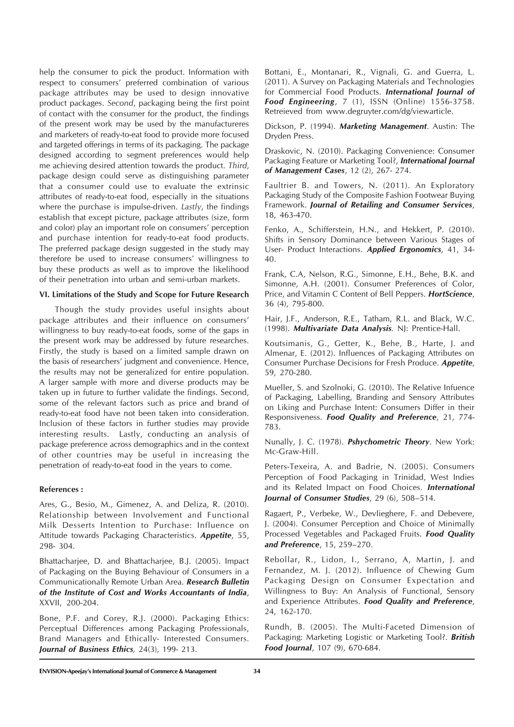help the consumer to pick the product. Information with respect to consumers' preferred combination of various package attributes may be used to design innovative product packages. *Second*, packaging being the first point of contact with the consumer for the product, the findings of the present work may be used by the manufactureres and marketers of ready-to-eat food to provide more focused and targeted offerings in terms of its packaging. The package designed according to segment preferences would help me achieving desired attention towards the product. *Third*, package design could serve as distinguishing parameter that a consumer could use to evaluate the extrinsic attributes of ready-to-eat food, especially in the situations where the purchase is impulse-driven. *Lastly*, the findings establish that except picture, package attributes (size, form and color) play an important role on consumers' perception and purchase intention for ready-to-eat food products. The preferred package design suggested in the study may therefore be used to increase consumers' willingness to buy these products as well as to improve the likelihood of their penetration into urban and semi-urban markets.

### **VI. Limitations of the Study and Scope for Future Research**

Though the study provides useful insights about package attributes and their influence on consumers' willingness to buy ready-to-eat foods, some of the gaps in the present work may be addressed by future researches. Firstly, the study is based on a limited sample drawn on the basis of researchers' judgment and convenience. Hence, the results may not be generalized for entire population. A larger sample with more and diverse products may be taken up in future to further validate the findings. Second, some of the relevant factors such as price and brand of ready-to-eat food have not been taken into consideration. Inclusion of these factors in further studies may provide interesting results. Lastly, conducting an analysis of package preference across demographics and in the context of other countries may be useful in increasing the penetration of ready-to-eat food in the years to come.

# **References :**

Ares, G., Besio, M., Gimenez, A. and Deliza, R. (2010). Relationship between Involvement and Functional Milk Desserts Intention to Purchase: Influence on Attitude towards Packaging Characteristics. *Appetite*, 55, 298- 304.

Bhattacharjee, D. and Bhattacharjee, B.J. (2005). Impact of Packaging on the Buying Behaviour of Consumers in a Communicationally Remote Urban Area. *Research Bulletin of the Institute of Cost and Works Accountants of India*, XXVII, 200-204.

Bone, P.F. and Corey, R.J. (2000). Packaging Ethics: Perceptual Differences among Packaging Professionals, Brand Managers and Ethically- Interested Consumers. *Journal of Business Ethics,* 24(3), 199- 213.

Bottani, E., Montanari, R., Vignali, G. and Guerra, L. (2011). A Survey on Packaging Materials and Technologies for Commercial Food Products. *International Journal of Food Engineering*, 7 (1), ISSN (Online) 1556-3758. Retreieved from www.degruyter.com/dg/viewarticle.

Dickson, P. (1994). *Marketing Management*. Austin: The Dryden Press.

Draskovic, N. (2010). Packaging Convenience: Consumer Packaging Feature or Marketing Tool?, *International Journal of Management Cases*, 12 (2), 267- 274.

Faultrier B. and Towers, N. (2011). An Exploratory Packaging Study of the Composite Fashion Footwear Buying Framework. *Journal of Retailing and Consumer Services*, 18, 463-470.

Fenko, A., Schifferstein, H.N., and Hekkert, P. (2010). Shifts in Sensory Dominance between Various Stages of User- Product Interactions. *Applied Ergonomics*, 41, 34- 40.

Frank, C.A, Nelson, R.G., Simonne, E.H., Behe, B.K. and Simonne, A.H. (2001). Consumer Preferences of Color, Price, and Vitamin C Content of Bell Peppers. *HortScience*, 36 (4), 795-800.

Hair, J.F., Anderson, R.E., Tatham, R.L. and Black, W.C. (1998). *Multivariate Data Analysis.* NJ: Prentice-Hall.

Koutsimanis, G., Getter, K., Behe, B., Harte, J. and Almenar, E. (2012). Influences of Packaging Attributes on Consumer Purchase Decisions for Fresh Produce. *Appetite*, 59, 270-280.

Mueller, S. and Szolnoki, G. (2010). The Relative Infuence of Packaging, Labelling, Branding and Sensory Attributes on Liking and Purchase Intent: Consumers Differ in their Responsiveness. *Food Quality and Preference*, 21, 774- 783.

Nunally, J. C. (1978). *Pshychometric Theory*. New York: Mc-Graw-Hill.

Peters-Texeira, A. and Badrie, N. (2005). Consumers Perception of Food Packaging in Trinidad, West Indies and its Related Impact on Food Choices. *International Journal of Consumer Studies*, 29 (6), 508–514.

Ragaert, P., Verbeke, W., Devlieghere, F. and Debevere, J. (2004). Consumer Perception and Choice of Minimally Processed Vegetables and Packaged Fruits. *Food Quality and Preference*, 15, 259–270.

Rebollar, R., Lidon, I., Serrano, A, Martin, J. and Fernandez, M. J. (2012). Influence of Chewing Gum Packaging Design on Consumer Expectation and Willingness to Buy: An Analysis of Functional, Sensory and Experience Attributes. *Food Quality and Preference*, 24, 162-170.

Rundh, B. (2005). The Multi-Faceted Dimension of Packaging: Marketing Logistic or Marketing Tool?. *British Food Journal*, 107 (9), 670-684.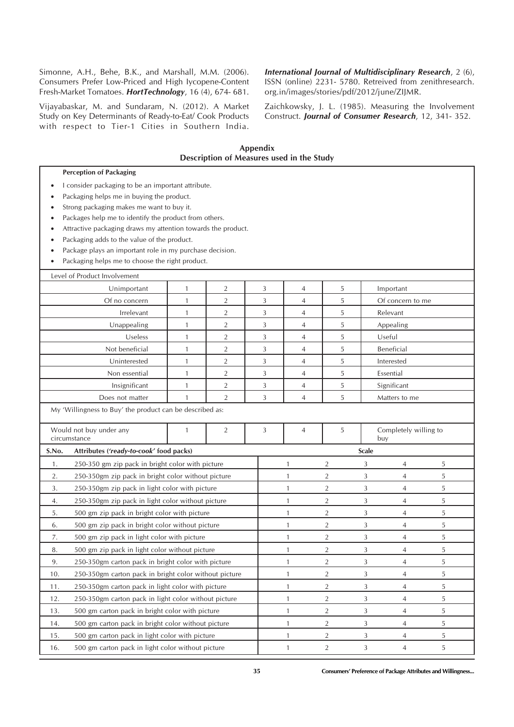Simonne, A.H., Behe, B.K., and Marshall, M.M. (2006). Consumers Prefer Low-Priced and High Iycopene-Content Fresh-Market Tomatoes. *HortTechnology*, 16 (4), 674- 681.

Vijayabaskar, M. and Sundaram, N. (2012). A Market Study on Key Determinants of Ready-to-Eat/ Cook Products with respect to Tier-1 Cities in Southern India. *International Journal of Multidisciplinary Research*, 2 (6), ISSN (online) 2231- 5780. Retreived from zenithresearch. org.in/images/stories/pdf/2012/june/ZIJMR.

Zaichkowsky, J. L. (1985). Measuring the Involvement Construct. *Journal of Consumer Research*, 12, 341- 352.

| Appendix<br>Description of Measures used in the Study       |                                                                                                                                                                                                                                                                                                                                                                                                                                     |              |                |   |                |                |              |                              |   |  |
|-------------------------------------------------------------|-------------------------------------------------------------------------------------------------------------------------------------------------------------------------------------------------------------------------------------------------------------------------------------------------------------------------------------------------------------------------------------------------------------------------------------|--------------|----------------|---|----------------|----------------|--------------|------------------------------|---|--|
|                                                             | <b>Perception of Packaging</b>                                                                                                                                                                                                                                                                                                                                                                                                      |              |                |   |                |                |              |                              |   |  |
| $\bullet$<br>$\bullet$                                      | I consider packaging to be an important attribute.<br>Packaging helps me in buying the product.<br>Strong packaging makes me want to buy it.<br>Packages help me to identify the product from others.<br>Attractive packaging draws my attention towards the product.<br>Packaging adds to the value of the product.<br>Package plays an important role in my purchase decision.<br>Packaging helps me to choose the right product. |              |                |   |                |                |              |                              |   |  |
|                                                             | Level of Product Involvement                                                                                                                                                                                                                                                                                                                                                                                                        |              |                |   |                |                |              |                              |   |  |
|                                                             | Unimportant                                                                                                                                                                                                                                                                                                                                                                                                                         | 1            | $\overline{2}$ | 3 | 4              | 5              |              | Important                    |   |  |
|                                                             | Of no concern                                                                                                                                                                                                                                                                                                                                                                                                                       | $\mathbf{1}$ | $\overline{2}$ | 3 | 4              | 5              |              | Of concern to me             |   |  |
|                                                             | Irrelevant                                                                                                                                                                                                                                                                                                                                                                                                                          | $\mathbf{1}$ | $\overline{2}$ | 3 | 4              | 5              |              | Relevant                     |   |  |
|                                                             | Unappealing                                                                                                                                                                                                                                                                                                                                                                                                                         | $\mathbf{1}$ | $\overline{2}$ | 3 | $\overline{4}$ | 5              |              | Appealing                    |   |  |
|                                                             | Useless                                                                                                                                                                                                                                                                                                                                                                                                                             | $\mathbf{1}$ | $\overline{2}$ | 3 | 4              | 5              |              | Useful                       |   |  |
|                                                             | Not beneficial                                                                                                                                                                                                                                                                                                                                                                                                                      | $\mathbf{1}$ | $\overline{2}$ | 3 | 4              | 5              |              | Beneficial                   |   |  |
|                                                             | Uninterested                                                                                                                                                                                                                                                                                                                                                                                                                        | $\mathbf{1}$ | $\overline{2}$ | 3 | 4              | 5              |              | Interested                   |   |  |
|                                                             | Non essential                                                                                                                                                                                                                                                                                                                                                                                                                       | $\mathbf{1}$ | $\overline{2}$ | 3 | $\overline{4}$ | 5              |              | Essential                    |   |  |
|                                                             | Insignificant                                                                                                                                                                                                                                                                                                                                                                                                                       | $\mathbf{1}$ | $\overline{2}$ | 3 | 4              | 5              |              | Significant                  |   |  |
|                                                             | Does not matter                                                                                                                                                                                                                                                                                                                                                                                                                     | 1            | $\overline{2}$ | 3 | 4              | 5              |              | Matters to me                |   |  |
|                                                             | My 'Willingness to Buy' the product can be described as:                                                                                                                                                                                                                                                                                                                                                                            |              |                |   |                |                |              |                              |   |  |
|                                                             | Would not buy under any<br>circumstance                                                                                                                                                                                                                                                                                                                                                                                             | $\mathbf{1}$ | $\overline{2}$ | 3 | 4              | 5              |              | Completely willing to<br>buy |   |  |
| S.No.                                                       | Attributes ('ready-to-cook' food packs)                                                                                                                                                                                                                                                                                                                                                                                             |              |                |   |                |                | <b>Scale</b> |                              |   |  |
| 1.                                                          | 250-350 gm zip pack in bright color with picture                                                                                                                                                                                                                                                                                                                                                                                    |              |                |   | 1              | 2              | 3            | 4                            | 5 |  |
| 2.                                                          | 250-350gm zip pack in bright color without picture                                                                                                                                                                                                                                                                                                                                                                                  |              |                |   | $\mathbf{1}$   | $\overline{2}$ | 3            | 4                            | 5 |  |
| 3.                                                          | 250-350gm zip pack in light color with picture                                                                                                                                                                                                                                                                                                                                                                                      |              |                |   | 1              | $\overline{2}$ | 3            | 4                            | 5 |  |
| 4.                                                          | 250-350gm zip pack in light color without picture                                                                                                                                                                                                                                                                                                                                                                                   |              |                |   | 1              | 2              | 3            | 4                            | 5 |  |
| 5.                                                          | 500 gm zip pack in bright color with picture                                                                                                                                                                                                                                                                                                                                                                                        |              |                |   | 1              | $\overline{2}$ | 3            | 4                            | 5 |  |
| 6.                                                          | 500 gm zip pack in bright color without picture                                                                                                                                                                                                                                                                                                                                                                                     |              |                |   | 1              | $\overline{2}$ | 3            | 4                            | 5 |  |
| 7.                                                          | 500 gm zip pack in light color with picture                                                                                                                                                                                                                                                                                                                                                                                         |              |                |   | 1              | $\overline{2}$ | 3            | 4                            | 5 |  |
| 8.                                                          | 500 gm zip pack in light color without picture                                                                                                                                                                                                                                                                                                                                                                                      |              |                |   | $\mathbf{1}$   | $\overline{2}$ | 3            | 4                            | 5 |  |
| 9.                                                          | 250-350gm carton pack in bright color with picture                                                                                                                                                                                                                                                                                                                                                                                  |              |                |   | 1              | $\overline{2}$ | 3            | 4                            | 5 |  |
| 10.                                                         | 250-350gm carton pack in bright color without picture                                                                                                                                                                                                                                                                                                                                                                               |              |                |   | $\mathbf{1}$   | $\overline{2}$ | 3            | 4                            | 5 |  |
| 250-350gm carton pack in light color with picture<br>11.    |                                                                                                                                                                                                                                                                                                                                                                                                                                     |              |                |   | $\mathbf{1}$   | $\overline{2}$ | 3            | 4                            | 5 |  |
| 250-350gm carton pack in light color without picture<br>12. |                                                                                                                                                                                                                                                                                                                                                                                                                                     |              |                |   | $\mathbf{1}$   | $\overline{2}$ | 3            | 4                            | 5 |  |
| 500 gm carton pack in bright color with picture<br>13.      |                                                                                                                                                                                                                                                                                                                                                                                                                                     |              |                |   | $\mathbf{1}$   | $\overline{2}$ | 3            | 4                            | 5 |  |
| 14.                                                         | 500 gm carton pack in bright color without picture                                                                                                                                                                                                                                                                                                                                                                                  |              |                |   | $\mathbf{1}$   | $\overline{2}$ | 3            | 4                            | 5 |  |
| 15.                                                         | 500 gm carton pack in light color with picture                                                                                                                                                                                                                                                                                                                                                                                      |              |                |   | $\mathbf{1}$   | $\overline{2}$ | 3            | $\overline{4}$               | 5 |  |
| 16.                                                         | 500 gm carton pack in light color without picture                                                                                                                                                                                                                                                                                                                                                                                   |              |                |   | 1              | $\overline{2}$ | 3            | 4                            | 5 |  |